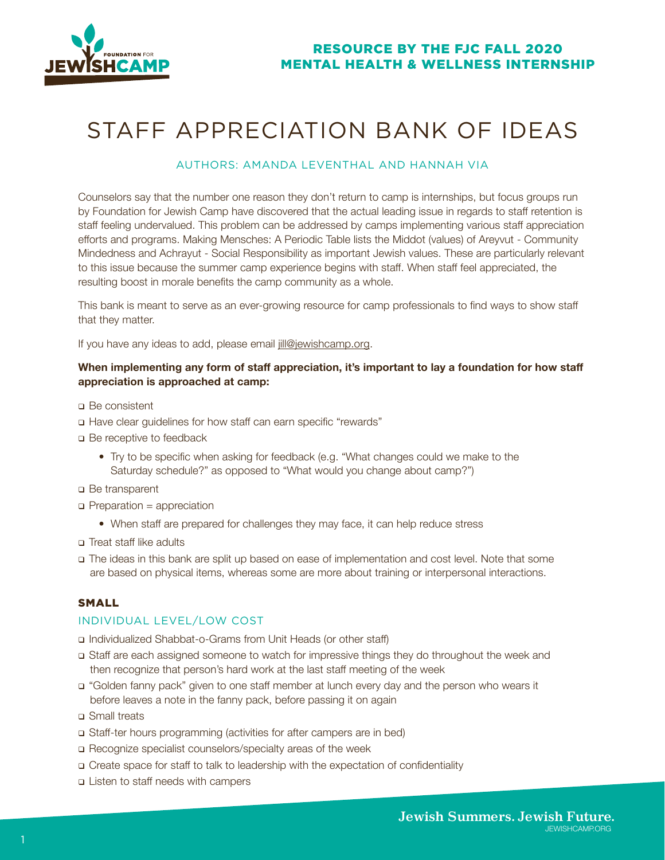

# STAFF APPRECIATION BANK OF IDEAS

## AUTHORS: AMANDA LEVENTHAL AND HANNAH VIA

Counselors say that the number one reason they don't return to camp is internships, but focus groups run by Foundation for Jewish Camp have discovered that the actual leading issue in regards to staff retention is staff feeling undervalued. This problem can be addressed by camps implementing various staff appreciation efforts and programs. Making Mensches: A Periodic Table lists the Middot (values) of Areyvut - Community Mindedness and Achrayut - Social Responsibility as important Jewish values. These are particularly relevant to this issue because the summer camp experience begins with staff. When staff feel appreciated, the resulting boost in morale benefits the camp community as a whole.

This bank is meant to serve as an ever-growing resource for camp professionals to find ways to show staff that they matter.

If you have any ideas to add, please email  $\frac{1}{2}$  ill @jewishcamp.org.

## **When implementing any form of staff appreciation, it's important to lay a foundation for how staff appreciation is approached at camp:**

- Be consistent
- Have clear guidelines for how staff can earn specific "rewards"
- □ Be receptive to feedback
	- Try to be specific when asking for feedback (e.g. "What changes could we make to the Saturday schedule?" as opposed to "What would you change about camp?")
- □ Be transparent
- $\Box$  Preparation = appreciation
	- When staff are prepared for challenges they may face, it can help reduce stress
- □ Treat staff like adults
- The ideas in this bank are split up based on ease of implementation and cost level. Note that some are based on physical items, whereas some are more about training or interpersonal interactions.

### SMALL

## INDIVIDUAL LEVEL/LOW COST

- Individualized Shabbat-o-Grams from Unit Heads (or other staff)
- Staff are each assigned someone to watch for impressive things they do throughout the week and then recognize that person's hard work at the last staff meeting of the week
- "Golden fanny pack" given to one staff member at lunch every day and the person who wears it before leaves a note in the fanny pack, before passing it on again
- Small treats
- Staff-ter hours programming (activities for after campers are in bed)
- Recognize specialist counselors/specialty areas of the week
- Create space for staff to talk to leadership with the expectation of confidentiality
- □ Listen to staff needs with campers